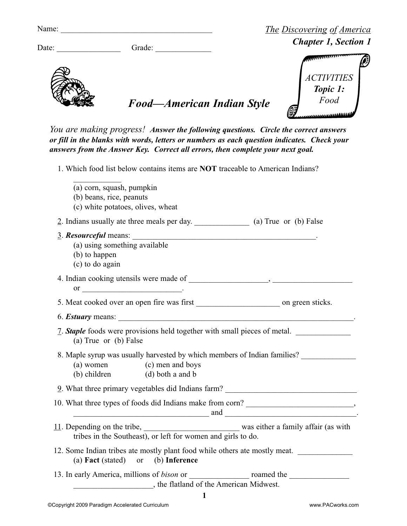| Name: |        | <b>The Discovering of America</b> |  |  |
|-------|--------|-----------------------------------|--|--|
| Date: | Grade: | <b>Chapter 1, Section 1</b>       |  |  |
|       |        |                                   |  |  |
|       |        | <b>ACTIVITIES</b><br>Topic 1:     |  |  |

*You are making progress! Answer the following questions. Circle the correct answers or fill in the blanks with words, letters or numbers as each question indicates. Check your answers from the Answer Key. Correct all errors, then complete your next goal.*

*Food—American Indian Style*

1. Which food list below contains items are **NOT** traceable to American Indians?

| (a) corn, squash, pumpkin<br>(b) beans, rice, peanuts<br>(c) white potatoes, olives, wheat                                                                                                                                     |
|--------------------------------------------------------------------------------------------------------------------------------------------------------------------------------------------------------------------------------|
| 2. Indians usually ate three meals per day. (a) True or (b) False                                                                                                                                                              |
| 3. Resourceful means:<br>(a) using something available<br>(b) to happen<br>(c) to do again                                                                                                                                     |
| or $\overline{\phantom{a}}$ .                                                                                                                                                                                                  |
|                                                                                                                                                                                                                                |
|                                                                                                                                                                                                                                |
| <u>7</u> . <b>Staple</b> foods were provisions held together with small pieces of metal.<br>(a) True or (b) False                                                                                                              |
| 8. Maple syrup was usually harvested by which members of Indian families?<br>(a) women (c) men and boys<br>(b) children (d) both a and b                                                                                       |
| 9. What three primary vegetables did Indians farm? ______________________________                                                                                                                                              |
| and the contract of the contract of the contract of the contract of the contract of the contract of the contract of the contract of the contract of the contract of the contract of the contract of the contract of the contra |
| 11. Depending on the tribe, was either a family affair (as with<br>tribes in the Southeast), or left for women and girls to do.                                                                                                |
| 12. Some Indian tribes ate mostly plant food while others ate mostly meat.<br>(a) <b>Fact</b> (stated) or (b) <b>Inference</b>                                                                                                 |
| the flatland of the American Midwest.                                                                                                                                                                                          |

*Food*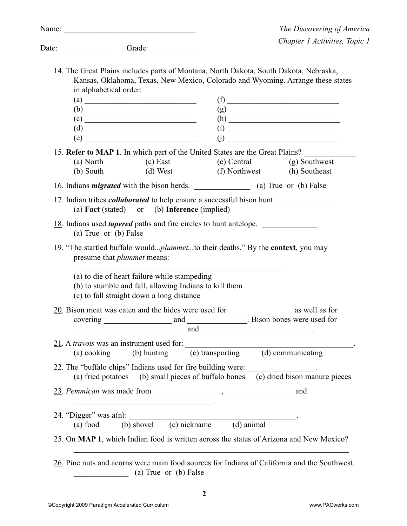| <b>The Discovering of America</b> |
|-----------------------------------|
| Chapter 1 Activities, Topic 1     |

|       | Name: $\frac{1}{\sqrt{1-\frac{1}{2}}}\left\{ \frac{1}{2} + \frac{1}{2} \left( \frac{1}{2} + \frac{1}{2} \left( \frac{1}{2} + \frac{1}{2} \left( \frac{1}{2} + \frac{1}{2} \left( \frac{1}{2} + \frac{1}{2} \left( \frac{1}{2} + \frac{1}{2} \left( \frac{1}{2} + \frac{1}{2} \left( \frac{1}{2} + \frac{1}{2} \left( \frac{1}{2} + \frac{1}{2} \left( \frac{1}{2} + \frac{1}{2} \left( \frac{1}{2} + \frac{1}{2$ |             |                                                                                                                       | <b>The Discovering of Amer</b>                                                                                                                                           |
|-------|------------------------------------------------------------------------------------------------------------------------------------------------------------------------------------------------------------------------------------------------------------------------------------------------------------------------------------------------------------------------------------------------------------------|-------------|-----------------------------------------------------------------------------------------------------------------------|--------------------------------------------------------------------------------------------------------------------------------------------------------------------------|
| Date: |                                                                                                                                                                                                                                                                                                                                                                                                                  | Grade:      |                                                                                                                       | Chapter 1 Activities, Topi                                                                                                                                               |
|       | in alphabetical order:                                                                                                                                                                                                                                                                                                                                                                                           |             |                                                                                                                       | 14. The Great Plains includes parts of Montana, North Dakota, South Dakota, Nebraska,<br>Kansas, Oklahoma, Texas, New Mexico, Colorado and Wyoming. Arrange these states |
|       | $\left( \text{a}\right)$                                                                                                                                                                                                                                                                                                                                                                                         |             |                                                                                                                       |                                                                                                                                                                          |
|       |                                                                                                                                                                                                                                                                                                                                                                                                                  |             |                                                                                                                       |                                                                                                                                                                          |
|       |                                                                                                                                                                                                                                                                                                                                                                                                                  |             |                                                                                                                       |                                                                                                                                                                          |
|       | $\begin{array}{c}\n\text{(d)}\end{array}$                                                                                                                                                                                                                                                                                                                                                                        |             |                                                                                                                       |                                                                                                                                                                          |
|       | (e)                                                                                                                                                                                                                                                                                                                                                                                                              |             |                                                                                                                       | (i)                                                                                                                                                                      |
|       |                                                                                                                                                                                                                                                                                                                                                                                                                  |             |                                                                                                                       | 15. Refer to MAP 1. In which part of the United States are the Great Plains?                                                                                             |
|       |                                                                                                                                                                                                                                                                                                                                                                                                                  |             |                                                                                                                       | (a) North (c) East (e) Central (g) Southwest                                                                                                                             |
|       |                                                                                                                                                                                                                                                                                                                                                                                                                  |             |                                                                                                                       | (b) South (d) West (f) Northwest (h) Southeast                                                                                                                           |
|       | 16. Indians <i>migrated</i> with the bison herds. (a) True or (b) False                                                                                                                                                                                                                                                                                                                                          |             |                                                                                                                       |                                                                                                                                                                          |
|       |                                                                                                                                                                                                                                                                                                                                                                                                                  |             |                                                                                                                       |                                                                                                                                                                          |
|       | (a) <b>Fact</b> (stated) or (b) <b>Inference</b> (implied)                                                                                                                                                                                                                                                                                                                                                       |             |                                                                                                                       | 17. Indian tribes <i>collaborated</i> to help ensure a successful bison hunt.                                                                                            |
|       |                                                                                                                                                                                                                                                                                                                                                                                                                  |             |                                                                                                                       |                                                                                                                                                                          |
|       | (a) True or (b) False                                                                                                                                                                                                                                                                                                                                                                                            |             | 18. Indians used <i>tapered</i> paths and fire circles to hunt antelope.                                              |                                                                                                                                                                          |
|       | presume that <i>plummet</i> means:                                                                                                                                                                                                                                                                                                                                                                               |             |                                                                                                                       | 19. "The startled buffalo would <i>plummet</i> to their deaths." By the <b>context</b> , you may                                                                         |
|       | (a) to die of heart failure while stampeding<br>(b) to stumble and fall, allowing Indians to kill them<br>(c) to fall straight down a long distance                                                                                                                                                                                                                                                              |             |                                                                                                                       |                                                                                                                                                                          |
|       |                                                                                                                                                                                                                                                                                                                                                                                                                  | and         | <u> 1989 - Johann John Harry Barbara, martin a fara a tsair an t-Alban a tsair a tsair a tsair a tsair a tsair an</u> |                                                                                                                                                                          |
|       | 21. A <i>travois</i> was an instrument used for:                                                                                                                                                                                                                                                                                                                                                                 |             |                                                                                                                       |                                                                                                                                                                          |
|       | (a) cooking                                                                                                                                                                                                                                                                                                                                                                                                      | (b) hunting |                                                                                                                       | (c) transporting (d) communicating                                                                                                                                       |
|       |                                                                                                                                                                                                                                                                                                                                                                                                                  |             |                                                                                                                       |                                                                                                                                                                          |
|       |                                                                                                                                                                                                                                                                                                                                                                                                                  |             |                                                                                                                       |                                                                                                                                                                          |
|       |                                                                                                                                                                                                                                                                                                                                                                                                                  |             | 22. The "buffalo chips" Indians used for fire building were:                                                          |                                                                                                                                                                          |
|       |                                                                                                                                                                                                                                                                                                                                                                                                                  |             |                                                                                                                       | (a) fried potatoes (b) small pieces of buffalo bones (c) dried bison manure pieces                                                                                       |
|       |                                                                                                                                                                                                                                                                                                                                                                                                                  |             |                                                                                                                       |                                                                                                                                                                          |
|       |                                                                                                                                                                                                                                                                                                                                                                                                                  |             |                                                                                                                       |                                                                                                                                                                          |
|       |                                                                                                                                                                                                                                                                                                                                                                                                                  |             |                                                                                                                       |                                                                                                                                                                          |
|       | (a) food                                                                                                                                                                                                                                                                                                                                                                                                         |             | 24. "Digger" was $a(n)$ :<br>$\overline{(b)}$ shovel $\overline{(c)}$ nickname $\overline{(d)}$ animal                |                                                                                                                                                                          |
|       |                                                                                                                                                                                                                                                                                                                                                                                                                  |             |                                                                                                                       | 25. On MAP 1, which Indian food is written across the states of Arizona and New Mexico?                                                                                  |

\_\_\_\_\_\_\_\_\_\_\_\_\_\_ (a) True or (b) False